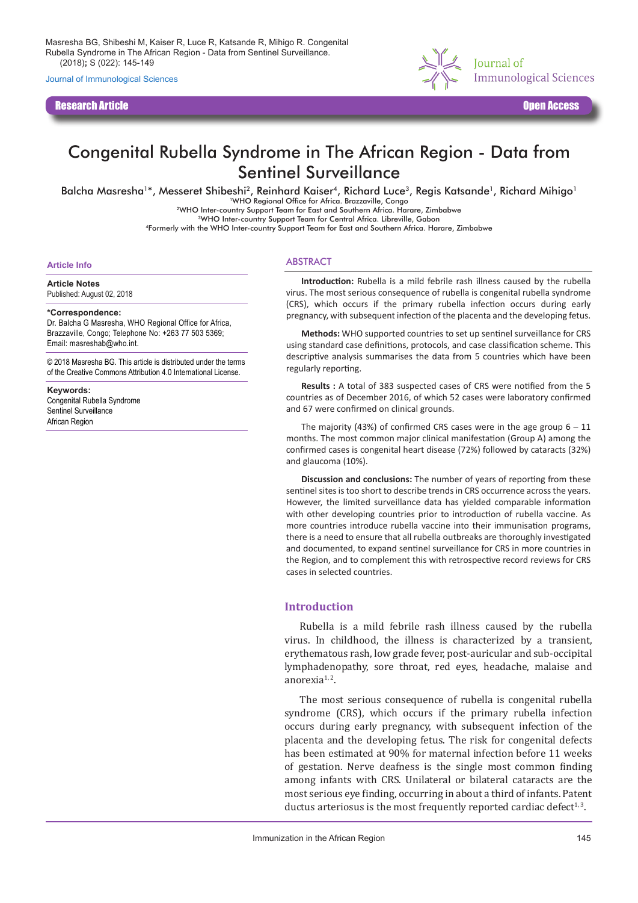Masresha BG, Shibeshi M, Kaiser R, Luce R, Katsande R, Mihigo R. Congenital Rubella Syndrome in The African Region - Data from Sentinel Surveillance. J Immunol Sci (2018)**;** S (022): 145-149

Journal of Immunological Sciences

Research Article Open Access



# Congenital Rubella Syndrome in The African Region - Data from Sentinel Surveillance

Balcha Masresha<sup>1\*</sup>, Messeret Shibeshi<sup>2</sup>, Reinhard Kaiser<sup>4</sup>, Richard Luce<sup>3</sup>, Regis Katsande<sup>1</sup>, Richard Mihigo<sup>1</sup>

1WHO Regional Office for Africa. Brazzaville, Congo 2WHO Inter-country Support Team for East and Southern Africa. Harare, Zimbabwe

3WHO Inter-country Support Team for Central Africa. Libreville, Gabon

4Formerly with the WHO Inter-country Support Team for East and Southern Africa. Harare, Zimbabwe

#### **Article Info**

**Article Notes**

Published: August 02, 2018

#### **\*Correspondence:**

Dr. Balcha G Masresha, WHO Regional Office for Africa, Brazzaville, Congo; Telephone No: +263 77 503 5369; Email: masreshab@who.int.

© 2018 Masresha BG. This article is distributed under the terms of the Creative Commons Attribution 4.0 International License.

#### **Keywords:**

Congenital Rubella Syndrome Sentinel Surveillance African Region

### ABSTRACT

**Introduction:** Rubella is a mild febrile rash illness caused by the rubella virus. The most serious consequence of rubella is congenital rubella syndrome (CRS), which occurs if the primary rubella infection occurs during early pregnancy, with subsequent infection of the placenta and the developing fetus.

**Methods:** WHO supported countries to set up sentinel surveillance for CRS using standard case definitions, protocols, and case classification scheme. This descriptive analysis summarises the data from 5 countries which have been regularly reporting.

**Results :** A total of 383 suspected cases of CRS were notified from the 5 countries as of December 2016, of which 52 cases were laboratory confirmed and 67 were confirmed on clinical grounds.

The majority (43%) of confirmed CRS cases were in the age group  $6 - 11$ months. The most common major clinical manifestation (Group A) among the confirmed cases is congenital heart disease (72%) followed by cataracts (32%) and glaucoma (10%).

**Discussion and conclusions:** The number of years of reporting from these sentinel sites is too short to describe trends in CRS occurrence across the years. However, the limited surveillance data has yielded comparable information with other developing countries prior to introduction of rubella vaccine. As more countries introduce rubella vaccine into their immunisation programs, there is a need to ensure that all rubella outbreaks are thoroughly investigated and documented, to expand sentinel surveillance for CRS in more countries in the Region, and to complement this with retrospective record reviews for CRS cases in selected countries.

## **Introduction**

Rubella is a mild febrile rash illness caused by the rubella virus. In childhood, the illness is characterized by a transient, erythematous rash, low grade fever, post-auricular and sub-occipital lymphadenopathy, sore throat, red eyes, headache, malaise and anorexia $1, 2$ .

The most serious consequence of rubella is congenital rubella syndrome (CRS), which occurs if the primary rubella infection occurs during early pregnancy, with subsequent infection of the placenta and the developing fetus. The risk for congenital defects has been estimated at 90% for maternal infection before 11 weeks of gestation. Nerve deafness is the single most common finding among infants with CRS. Unilateral or bilateral cataracts are the most serious eye finding, occurring in about a third of infants. Patent ductus arteriosus is the most frequently reported cardiac defect<sup>1,3</sup>.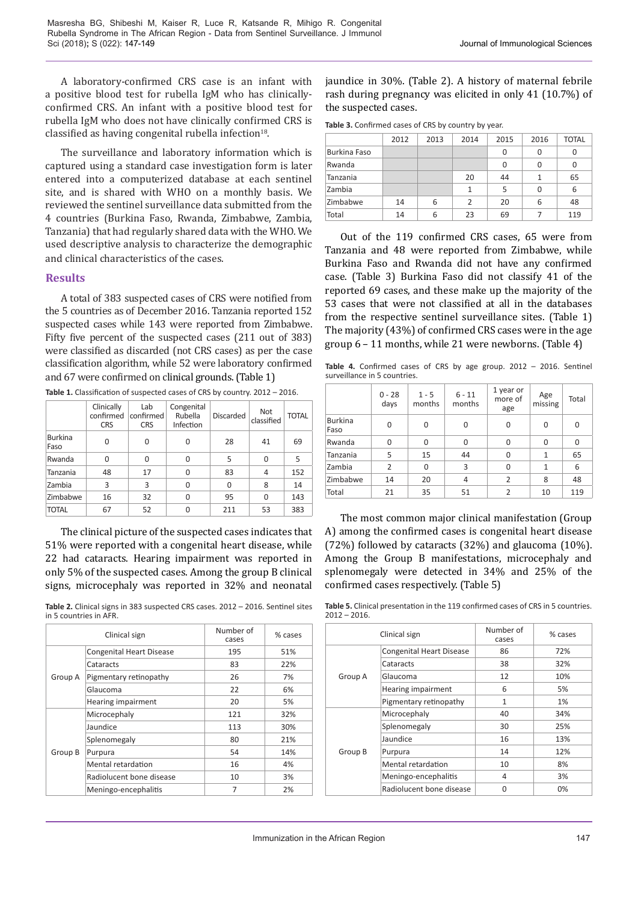A laboratory-confirmed CRS case is an infant with a positive blood test for rubella IgM who has clinicallyconfirmed CRS. An infant with a positive blood test for rubella IgM who does not have clinically confirmed CRS is classified as having congenital rubella infection $18$ .

The surveillance and laboratory information which is captured using a standard case investigation form is later entered into a computerized database at each sentinel site, and is shared with WHO on a monthly basis. We reviewed the sentinel surveillance data submitted from the 4 countries (Burkina Faso, Rwanda, Zimbabwe, Zambia, Tanzania) that had regularly shared data with the WHO. We used descriptive analysis to characterize the demographic and clinical characteristics of the cases.

## **Results**

A total of 383 suspected cases of CRS were notified from the 5 countries as of December 2016. Tanzania reported 152 suspected cases while 143 were reported from Zimbabwe. Fifty five percent of the suspected cases (211 out of 383) were classified as discarded (not CRS cases) as per the case classification algorithm, while 52 were laboratory confirmed and 67 were confirmed on clinical grounds. (Table 1)

|                        | Clinically<br>confirmed<br><b>CRS</b> | Lab<br>confirmed<br><b>CRS</b> | Congenital<br>Rubella<br>Infection | <b>Discarded</b> | Not<br>classified | <b>TOTAL</b> |
|------------------------|---------------------------------------|--------------------------------|------------------------------------|------------------|-------------------|--------------|
| <b>Burkina</b><br>Faso | $\Omega$                              | 0                              | 0                                  | 28               | 41                | 69           |
| Rwanda                 | 0                                     | 0                              | 0                                  | 5                | $\Omega$          | 5            |
| Tanzania               | 48                                    | 17                             | 0                                  | 83               | 4                 | 152          |
| Zambia                 | 3                                     | 3                              | $\Omega$                           | 0                | 8                 | 14           |
| Zimbabwe               | 16                                    | 32                             | $\Omega$                           | 95               | $\Omega$          | 143          |
| <b>TOTAL</b>           | 67                                    | 52                             |                                    | 211              | 53                | 383          |

**Table 1.** Classification of suspected cases of CRS by country. 2012 – 2016.

The clinical picture of the suspected cases indicates that 51% were reported with a congenital heart disease, while 22 had cataracts. Hearing impairment was reported in only 5% of the suspected cases. Among the group B clinical signs, microcephaly was reported in 32% and neonatal

**Table 2.** Clinical signs in 383 suspected CRS cases. 2012 – 2016. Sentinel sites in 5 countries in AFR.

| Clinical sign |                                 | Number of<br>cases | % cases |
|---------------|---------------------------------|--------------------|---------|
| Group A       | <b>Congenital Heart Disease</b> | 195                | 51%     |
|               | Cataracts                       | 83                 | 22%     |
|               | Pigmentary retinopathy          | 26                 | 7%      |
|               | Glaucoma                        | 22                 | 6%      |
|               | Hearing impairment              | 20                 | 5%      |
| Group B       | Microcephaly                    | 121                | 32%     |
|               | Jaundice                        | 113                | 30%     |
|               | Splenomegaly                    | 80                 | 21%     |
|               | Purpura                         | 54                 | 14%     |
|               | Mental retardation              | 16                 | 4%      |
|               | Radiolucent bone disease        | 10                 | 3%      |
|               | Meningo-encephalitis            | 7                  | 2%      |

jaundice in 30%. (Table 2). A history of maternal febrile rash during pregnancy was elicited in only 41 (10.7%) of the suspected cases.

**Table 3.** Confirmed cases of CRS by country by year.

|              | 2012 | 2013 | 2014           | 2015 | 2016 | <b>TOTAL</b> |
|--------------|------|------|----------------|------|------|--------------|
| Burkina Faso |      |      |                | 0    | 0    | 0            |
| Rwanda       |      |      |                | 0    | 0    | 0            |
| Tanzania     |      |      | 20             | 44   | 1    | 65           |
| Zambia       |      |      | 1              | 5    | U    | 6            |
| Zimbabwe     | 14   | 6    | $\overline{2}$ | 20   | 6    | 48           |
| Total        | 14   | 6    | 23             | 69   |      | 119          |

Out of the 119 confirmed CRS cases, 65 were from Tanzania and 48 were reported from Zimbabwe, while Burkina Faso and Rwanda did not have any confirmed case. (Table 3) Burkina Faso did not classify 41 of the reported 69 cases, and these make up the majority of the 53 cases that were not classified at all in the databases from the respective sentinel surveillance sites. (Table 1) The majority (43%) of confirmed CRS cases were in the age group 6 – 11 months, while 21 were newborns. (Table 4)

**Table 4.** Confirmed cases of CRS by age group. 2012 – 2016. Sentinel surveillance in 5 countries.

|                        | $0 - 28$<br>days | $1 - 5$<br>months | $6 - 11$<br>months | 1 year or<br>more of<br>age | Age<br>missing | Total |
|------------------------|------------------|-------------------|--------------------|-----------------------------|----------------|-------|
| <b>Burkina</b><br>Faso | 0                | 0                 | 0                  | 0                           | 0              | 0     |
| Rwanda                 | 0                | 0                 | $\Omega$           | 0                           | 0              | 0     |
| Tanzania               | 5                | 15                | 44                 | 0                           | 1              | 65    |
| Zambia                 | $\overline{2}$   | 0                 | 3                  | 0                           | 1              | 6     |
| Zimbabwe               | 14               | 20                | 4                  | 2                           | 8              | 48    |
| Total                  | 21               | 35                | 51                 | $\mathcal{P}$               | 10             | 119   |

The most common major clinical manifestation (Group A) among the confirmed cases is congenital heart disease (72%) followed by cataracts (32%) and glaucoma (10%). Among the Group B manifestations, microcephaly and splenomegaly were detected in 34% and 25% of the confirmed cases respectively. (Table 5)

**Table 5.** Clinical presentation in the 119 confirmed cases of CRS in 5 countries. 2012 – 2016.

| Clinical sign |                                 | Number of<br>cases | % cases |
|---------------|---------------------------------|--------------------|---------|
| Group A       | <b>Congenital Heart Disease</b> | 86                 | 72%     |
|               | Cataracts                       | 38                 | 32%     |
|               | Glaucoma                        | 12                 | 10%     |
|               | Hearing impairment              | 6                  | 5%      |
|               | Pigmentary retinopathy          | 1                  | 1%      |
| Group B       | Microcephaly                    | 40                 | 34%     |
|               | Splenomegaly                    | 30                 | 25%     |
|               | Jaundice                        | 16                 | 13%     |
|               | Purpura                         | 14                 | 12%     |
|               | Mental retardation              | 10                 | 8%      |
|               | Meningo-encephalitis            | 4                  | 3%      |
|               | Radiolucent bone disease        | n                  | 0%      |